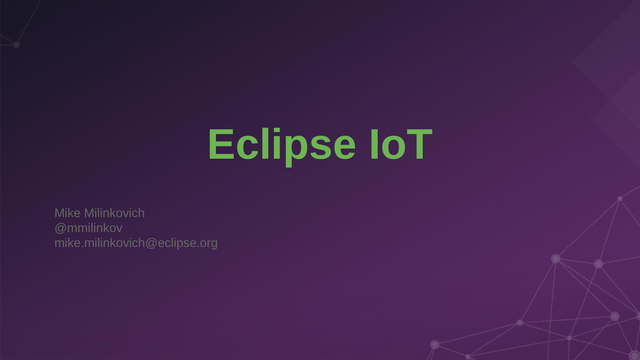## **Eclipse IoT**

Mike Milinkovich @mmilinkov mike.milinkovich@eclipse.org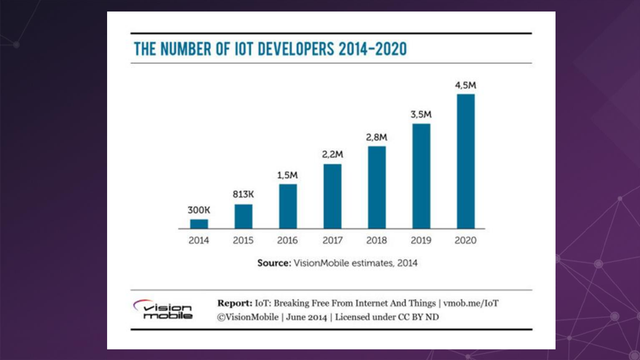#### THE NUMBER OF IOT DEVELOPERS 2014-2020



Source: VisionMobile estimates, 2014



Report: IoT: Breaking Free From Internet And Things | vmob.me/IoT ©VisionMobile | June 2014 | Licensed under CC BY ND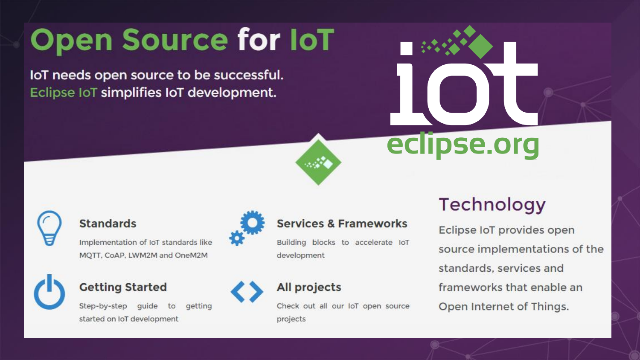## **Open Source for IoT**

IoT needs open source to be successful. Eclipse IoT simplifies IoT development.







#### **Standards**

Implementation of IoT standards like MOTT, CoAP, LWM2M and OneM2M



#### **Getting Started**

Step-by-step guide to aetting started on IoT development



#### **Services & Frameworks**

Building blocks to accelerate IoT development

#### **All projects**

Check out all our loT open source projects

#### **Technology**

Eclipse IoT provides open source implementations of the standards, services and frameworks that enable an Open Internet of Things.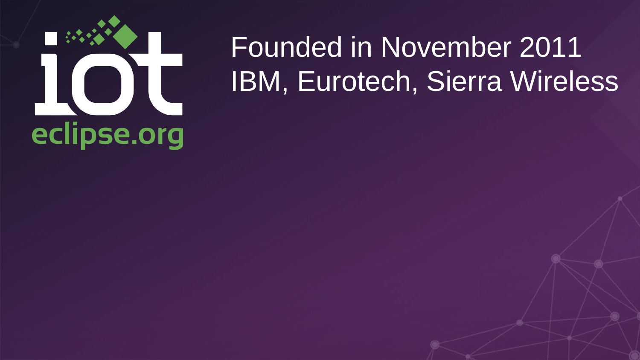# eclipse.org

## Founded in November 2011 IBM, Eurotech, Sierra Wireless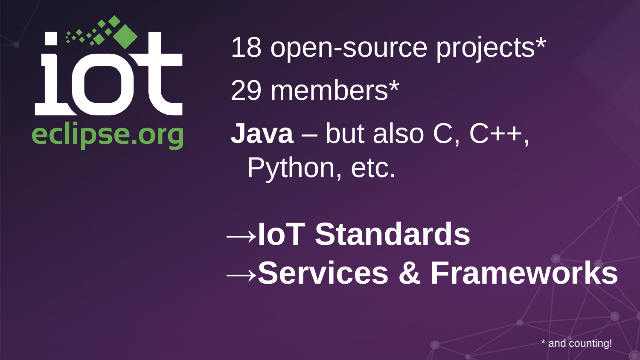

18 open-source projects\* 29 members\* **Java** – but also C, C++, Python, etc.

→**IoT Standards** →**Services & Frameworks**

and counting!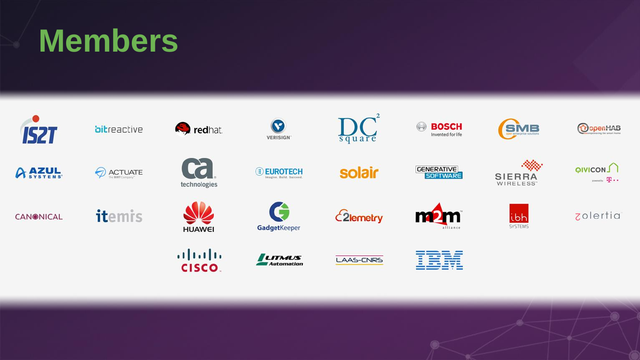## **Members**

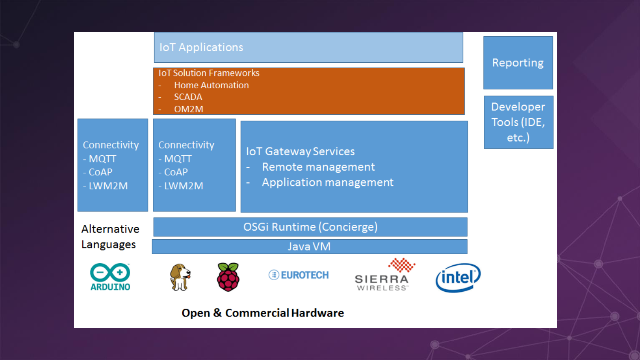|                                               | <b>IoT Applications</b>                                                               |                                                                                             |                                 |  | Reporting               |
|-----------------------------------------------|---------------------------------------------------------------------------------------|---------------------------------------------------------------------------------------------|---------------------------------|--|-------------------------|
|                                               | <b>IoT Solution Frameworks</b><br><b>Home Automation</b><br>٠<br><b>SCADA</b><br>OM2M |                                                                                             |                                 |  | Developer               |
| Connectivity<br>$-MQTT$<br>- CoAP<br>$-LWM2M$ | Connectivity<br>$-MQTT$<br>- CoAP<br>- LWM2M                                          | <b>IoT Gateway Services</b><br>Remote management<br>۰<br><b>Application management</b><br>٠ |                                 |  | Tools (IDE,<br>$etc.$ ) |
| Alternative                                   | OSGi Runtime (Concierge)                                                              |                                                                                             |                                 |  |                         |
| Languages                                     | Java VM                                                                               |                                                                                             |                                 |  |                         |
|                                               |                                                                                       | <b>EUROTECH</b>                                                                             | SIERRA<br>WIRELESS <sup>®</sup> |  |                         |

#### **Open & Commercial Hardware**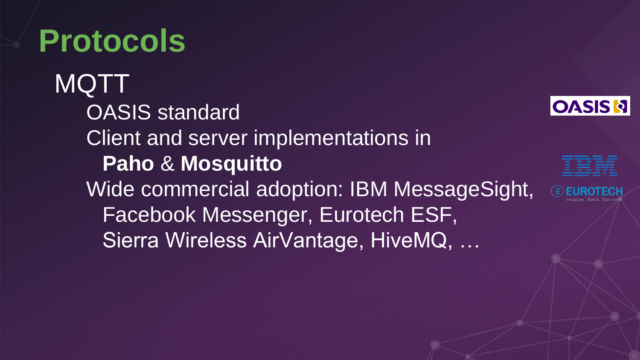**Protocols MQTT** OASIS standard Client and server implementations in **Paho** & **Mosquitto** Wide commercial adoption: IBM MessageSight, Facebook Messenger, Eurotech ESF, Sierra Wireless AirVantage, HiveMQ, …



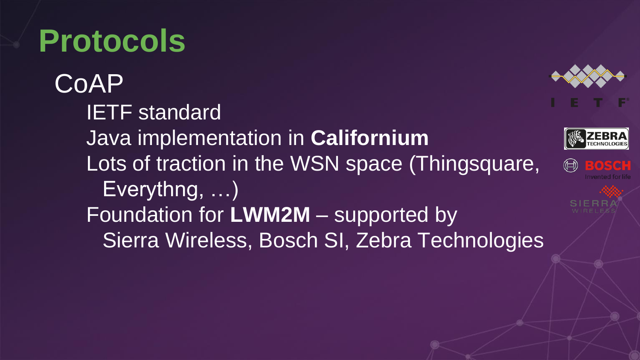### **Protocols**

CoAP IETF standard Java implementation in **Californium** Lots of traction in the WSN space (Thingsquare,  $\textcircled{\scriptsize{\textcircled{\#}}}$ Everythng, …) Foundation for **LWM2M** – supported by Sierra Wireless, Bosch SI, Zebra Technologies



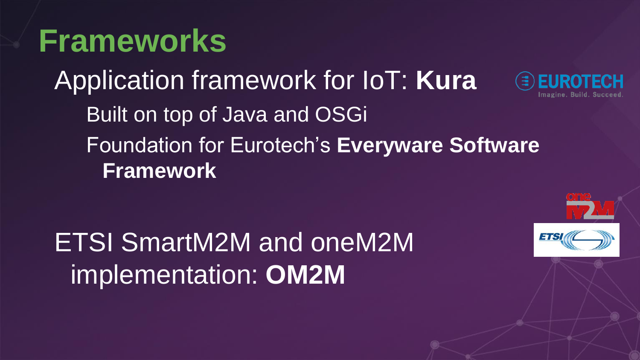#### **Frameworks**

Application framework for IoT: **Kura**

Built on top of Java and OSGi Foundation for Eurotech's **Everyware Software Framework**

ETSI SmartM2M and oneM2M implementation: **OM2M**

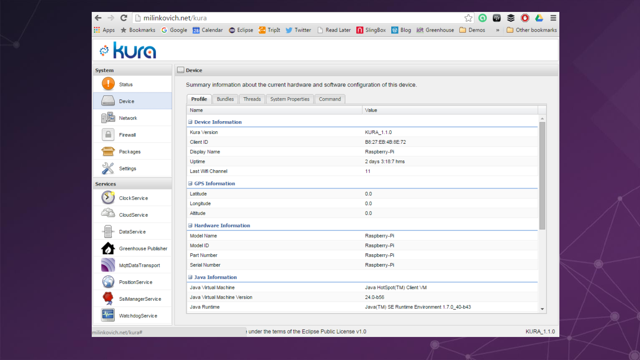

Raspberry-Pi

11

 $0.0$ 

 $0.0$ 

 $0.0$ 

Raspberry-Pi

Raspberry-Pi

Raspberry-Pi

Raspberry-Pi

24.0-b56

Java HotSpot(TM) Client VM

Java(TM) SE Runtime Environment 1.7.0\_40-b43

2 days 3:18:7 hms

|  | milinkovich.net/kura# |
|--|-----------------------|
|  |                       |

Packages

Settings

ClockService

CloudService

DataService

Greenhouse Publisher

MqttDataTransport

SsIManagerService

WatchdogService

PositionService

**Services** 

▷

Display Name

Last Wifi Channel

**B** GPS Information

**□ Hardware Information** 

Uptime

Latitude

Longitude Altitude

Model Name

Part Number

**Serial Number** 

Java Runtime

 $\exists$  Java Information

Java Virtual Machine

Java Virtual Machine Version

Model ID

under the terms of the Eclipse Public License v1.0

 $\overline{\phantom{a}}$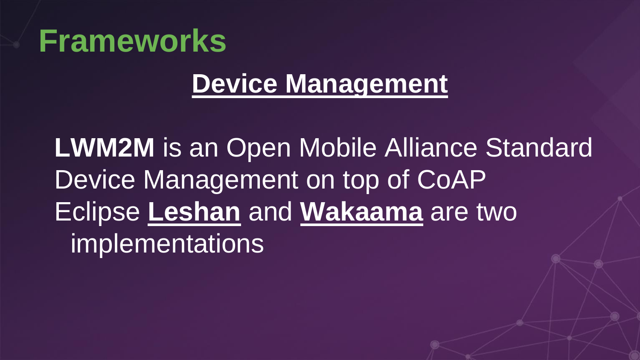#### **Frameworks**

#### **Device Management**

**LWM2M** is an Open Mobile Alliance Standard Device Management on top of CoAP Eclipse **Leshan** and **Wakaama** are two implementations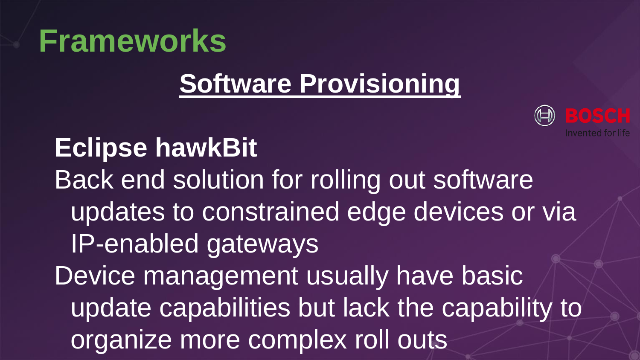### **Frameworks**

#### **Software Provisioning**



**Eclipse hawkBit** Back end solution for rolling out software updates to constrained edge devices or via IP-enabled gateways Device management usually have basic update capabilities but lack the capability to organize more complex roll outs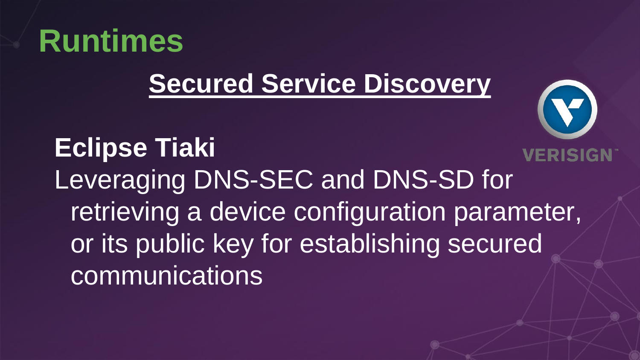

#### **Secured Service Discovery**

#### **Eclipse Tiaki**

Leveraging DNS-SEC and DNS-SD for retrieving a device configuration parameter, or its public key for establishing secured **communications**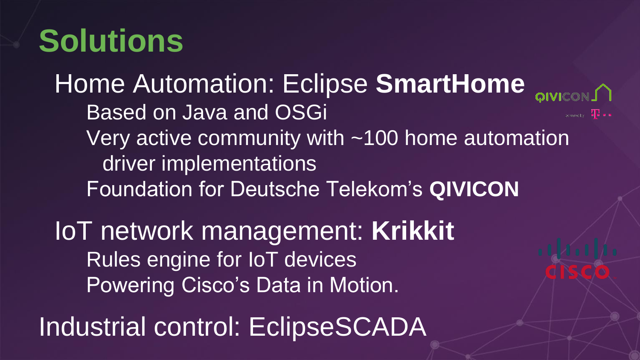## **Solutions**

Home Automation: Eclipse **SmartHome** Based on Java and OSGi  $R_{\text{reversely}} = \prod_{i=1}^{n} \prod_{i=1}^{n}$ Very active community with ~100 home automation driver implementations Foundation for Deutsche Telekom's **QIVICON** IoT network management: **Krikkit**

Rules engine for IoT devices Powering Cisco's Data in Motion.

Industrial control: EclipseSCADA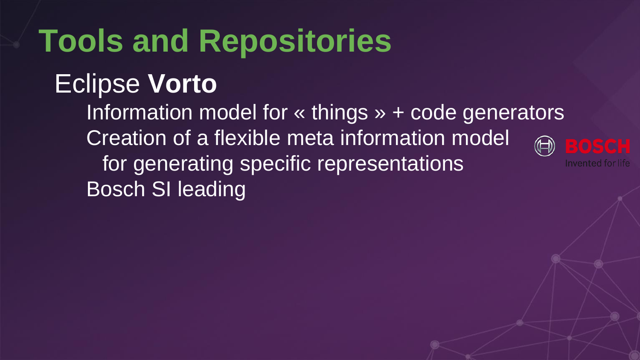## **Tools and Repositories**

#### Eclipse **Vorto**

Information model for « things » + code generators Creation of a flexible meta information model for generating specific representations Invented for life Bosch SI leading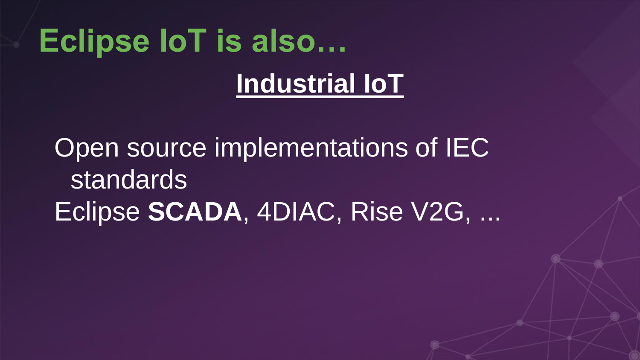## **Eclipse IoT is also… Industrial IoT**

Open source implementations of IEC standards Eclipse **SCADA**, 4DIAC, Rise V2G, ...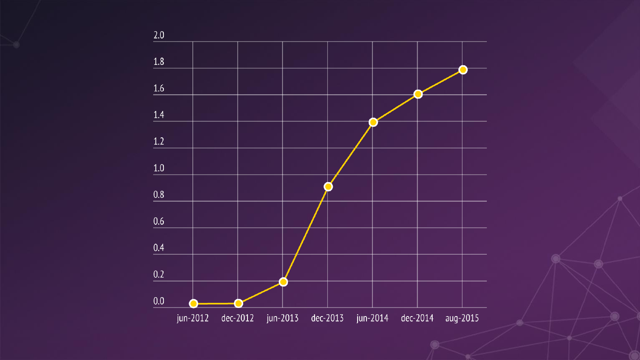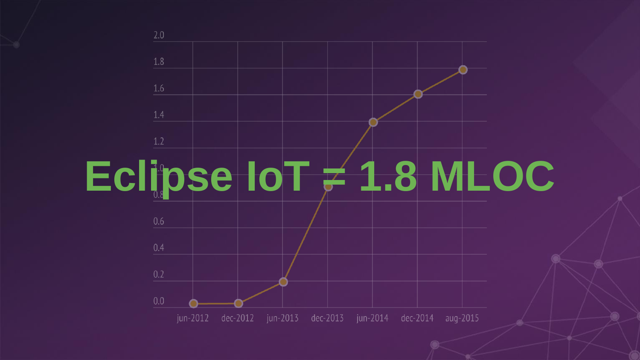